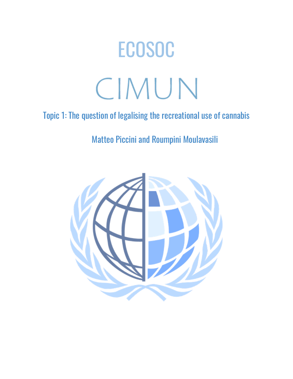# ECOSOC CIMUN

# Topic 1: The question of legalising the recreational use of cannabis

# Matteo Piccini and Roumpini Moulavasili

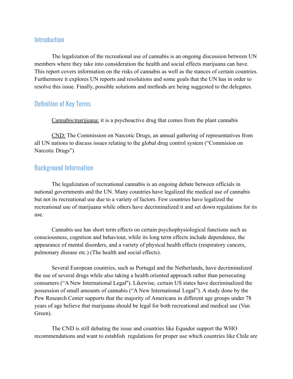## **Introduction**

The legalization of the recreational use of cannabis is an ongoing discussion between UN members where they take into consideration the health and social effects marijuana can have. This report covers information on the risks of cannabis as well as the stances of certain countries. Furthermore it explores UN reports and resolutions and some goals that the UN has in order to resolve this issue. Finally, possible solutions and methods are being suggested to the delegates.

## Definition of Key Terms

Cannabis/marijuana: it is a psychoactive drug that comes from the plant cannabis

CND: The Commission on Narcotic Drugs, an annual gathering of representatives from all UN nations to discuss issues relating to the global drug control system ("Commision on Narcotic Drugs")

## Background Information

The legalization of recreational cannabis is an ongoing debate between officials in national governments and the UN. Many countries have legalized the medical use of cannabis but not its recreational use due to a variety of factors. Few countries have legalized the recreational use of marijuana while others have decriminalized it and set down regulations for its use.

Cannabis use has short term effects on certain psychophysiological functions such as consciousness, cognition and behaviour, while its long term effects include dependence, the appearance of mental disorders, and a variety of physical health effects (respiratory cancers, pulmonary disease etc.) (The health and social effects).

Several European countries, such as Portugal and the Netherlands, have decriminalized the use of several drugs while also taking a health oriented approach rather than persecuting consumers ("A New International Legal''). Likewise, certain US states have decriminalized the possession of small amounts of cannabis ("A New International Legal"). A study done by the Pew Research Center supports that the majority of Americans in different age groups under 78 years of age believe that marijuana should be legal for both recreational and medical use (Van Green).

The CND is still debating the issue and countries like Equador support the WHO recommendations and want to establish regulations for proper use which countries like Chile are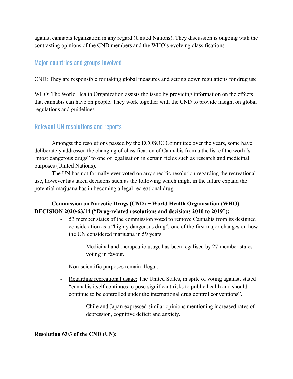against cannabis legalization in any regard (United Nations). They discussion is ongoing with the contrasting opinions of the CND members and the WHO's evolving classifications.

# Major countries and groups involved

CND: They are responsible for taking global measures and setting down regulations for drug use

WHO: The World Health Organization assists the issue by providing information on the effects that cannabis can have on people. They work together with the CND to provide insight on global regulations and guidelines.

# Relevant UN resolutions and reports

Amongst the resolutions passed by the ECOSOC Committee over the years, some have deliberately addressed the changing of classification of Cannabis from a the list of the world's "most dangerous drugs" to one of legalisation in certain fields such as research and medicinal purposes (United Nations).

The UN has not formally ever voted on any specific resolution regarding the recreational use, however has taken decisions such as the following which might in the future expand the potential marjuana has in becoming a legal recreational drug.

#### **Commission on Narcotic Drugs (CND) + World Health Organisation (WHO) DECISION 2020/63/14 ("Drug-related resolutions and decisions 2010 to 2019"):**

- 53 member states of the commission voted to remove Cannabis from its designed consideration as a "highly dangerous drug", one of the first major changes on how the UN considered marjuana in 59 years.
	- Medicinal and therapeutic usage has been legalised by 27 member states voting in favour.
- Non-scientific purposes remain illegal.
- Regarding recreational usage: The United States, in spite of voting against, stated "cannabis itself continues to pose significant risks to public health and should continue to be controlled under the international drug control conventions".
	- Chile and Japan expressed similar opinions mentioning increased rates of depression, cognitive deficit and anxiety.

#### **Resolution 63/3 of the CND (UN):**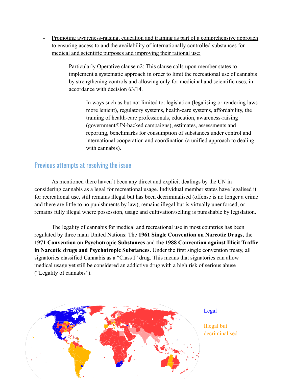- Promoting awareness-raising, education and training as part of a comprehensive approach to ensuring access to and the availability of internationally controlled substances for medical and scientific purposes and improving their rational use:
	- Particularly Operative clause n2: This clause calls upon member states to implement a systematic approach in order to limit the recreational use of cannabis by strengthening controls and allowing only for medicinal and scientific uses, in accordance with decision 63/14.
		- In ways such as but not limited to: legislation (legalising or rendering laws more lenient), regulatory systems, health-care systems, affordability, the training of health-care professionals, education, awareness-raising (government/UN-backed campaigns), estimates, assessments and reporting, benchmarks for consumption of substances under control and international cooperation and coordination (a unified approach to dealing with cannabis).

# Previous attempts at resolving the issue

As mentioned there haven't been any direct and explicit dealings by the UN in considering cannabis as a legal for recreational usage. Individual member states have legalised it for recreational use, still remains illegal but has been decriminalised (offense is no longer a crime and there are little to no punishments by law), remains illegal but is virtually unenforced, or remains fully illegal where possession, usage and cultivation/selling is punishable by legislation.

The legality of cannabis for medical and recreational use in most countries has been regulated by three main United Nations: The **1961 Single Convention on Narcotic Drugs,** the **1971 Convention on Psychotropic Substances** and **the 1988 Convention against Illicit Traffic in Narcotic drugs and Psychotropic Substances.** Under the first single convention treaty, all signatories classified Cannabis as a "Class I" drug. This means that signatories can allow medical usage yet still be considered an addictive drug with a high risk of serious abuse ("Legality of cannabis").



Legal

Illegal but decriminalised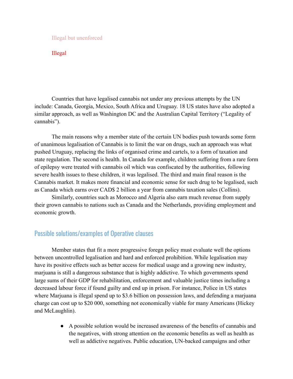#### Illegal but unenforced

#### Illegal

Countries that have legalised cannabis not under any previous attempts by the UN include: Canada, Georgia, Mexico, South Africa and Uruguay. 18 US states have also adopted a similar approach, as well as Washington DC and the Australian Capital Territory ("Legality of cannabis").

The main reasons why a member state of the certain UN bodies push towards some form of unanimous legalisation of Cannabis is to limit the war on drugs, such an approach was what pushed Uruguay, replacing the links of organised crime and cartels, to a form of taxation and state regulation. The second is health. In Canada for example, children suffering from a rare form of epilepsy were treated with cannabis oil which was confiscated by the authorities, following severe health issues to these children, it was legalised. The third and main final reason is the Cannabis market. It makes more financial and economic sense for such drug to be legalised, such as Canada which earns over CAD\$ 2 billion a year from cannabis taxation sales (Collins).

Similarly, countries such as Morocco and Algeria also earn much revenue from supply their grown cannabis to nations such as Canada and the Netherlands, providing employment and economic growth.

# Possible solutions/examples of Operative clauses

Member states that fit a more progressive foregn policy must evaluate well the options between uncontrolled legalisation and hard and enforced prohibition. While legalisation may have its positive effects such as better access for medical usage and a growing new industry, marjuana is still a dangerous substance that is highly addictive. To which governments spend large sums of their GDP for rehabilitation, enforcement and valuable justice times including a decreased labour force if found guilty and end up in prison. For instance, Police in US states where Marjuana is illegal spend up to \$3.6 billion on possession laws, and defending a marjuana charge can cost up to \$20 000, something not economically viable for many Americans (Hickey and McLaughlin).

> ● A possible solution would be increased awareness of the benefits of cannabis and the negatives, with strong attention on the economic benefits as well as health as well as addictive negatives. Public education, UN-backed campaigns and other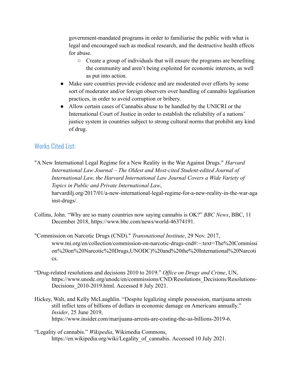government-mandated programs in order to familiarise the public with what is legal and encouraged such as medical research, and the destructive health effects for abuse.

- Create a group of individuals that will ensure the programs are benefiting the community and aren't being exploited for economic interests, as well as put into action.
- Make sure countries provide evidence and are moderated over efforts by some sort of moderator and/or foreign observers over handling of cannabis legalisation practices, in order to avoid corruption or bribery.
- Allow certain cases of Cannabis abuse to be handled by the UNICRI or the International Court of Justice in order to establish the reliability of a nations' justice system in countries subject to strong cultural norms that prohibit any kind of drug.

# Works Cited List:

"A New International Legal Regime for a New Reality in the War Against Drugs." *Harvard International Law Journal – The Oldest and Most-cited Student-edited Journal of International Law, the Harvard International Law Journal Covers a Wide Variety of Topics in Public and Private International Law*, harvardilj.org/2017/01/a-new-international-legal-regime-for-a-new-reality-in-the-war-aga inst-drugs/.

- Collins, John. "Why are so many countries now saying cannabis is OK?" *BBC News*, BBC, 11 December 2018, https://www.bbc.com/news/world-46374191.
- "Commission on Narcotic Drugs (CND)." *Transnational Institute*, 29 Nov. 2017, www.tni.org/en/collection/commission-on-narcotic-drugs-cnd#:~:text=The%20Commissi on%20on%20Narcotic%20Drugs,UNODC)%20and%20the%20International%20Narcoti cs.
- "Drug-related resolutions and decisions 2010 to 2019." *Office on Drugs and Crime*, UN, https://www.unodc.org/unodc/en/commissions/CND/Resolutions Decisions/Resolutions-Decisions\_2010-2019.html. Accessed 8 July 2021.
- Hickey, Walt, and Kelly McLaughlin. "Despite legalizing simple possession, marijuana arrests still inflict tens of billions of dollars in economic damage on Americans annually." *Insider*, 25 June 2019, https://www.insider.com/marijuana-arrests-are-costing-the-us-billions-2019-6.
- "Legality of cannabis." *Wikipedia*, Wikimedia Commons, https://en.wikipedia.org/wiki/Legality\_of\_cannabis. Accessed 10 July 2021.